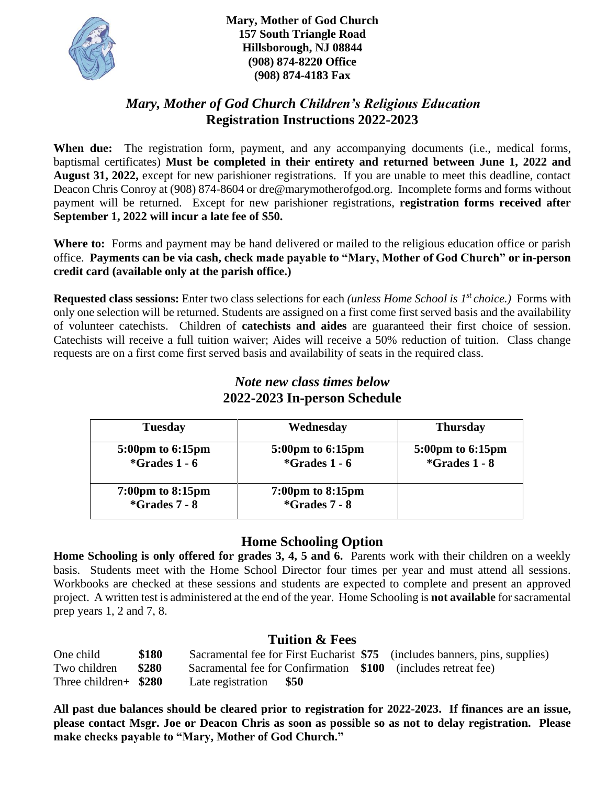

**Mary, Mother of God Church 157 South Triangle Road Hillsborough, NJ 08844 (908) 874-8220 Office (908) 874-4183 Fax**

## *Mary, Mother of God Church Children's Religious Education* **Registration Instructions 2022-2023**

**When due:** The registration form, payment, and any accompanying documents (i.e., medical forms, baptismal certificates) **Must be completed in their entirety and returned between June 1, 2022 and August 31, 2022,** except for new parishioner registrations. If you are unable to meet this deadline, contact Deacon Chris Conroy at (908) 874-8604 or dre@marymotherofgod.org. Incomplete forms and forms without payment will be returned. Except for new parishioner registrations, **registration forms received after September 1, 2022 will incur a late fee of \$50.**

Where to: Forms and payment may be hand delivered or mailed to the religious education office or parish office. **Payments can be via cash, check made payable to "Mary, Mother of God Church" or in-person credit card (available only at the parish office.)**

**Requested class sessions:** Enter two class selections for each *(unless Home School is 1st choice.)* Forms with only one selection will be returned. Students are assigned on a first come first served basis and the availability of volunteer catechists. Children of **catechists and aides** are guaranteed their first choice of session. Catechists will receive a full tuition waiver; Aides will receive a 50% reduction of tuition. Class change requests are on a first come first served basis and availability of seats in the required class.

# *Note new class times below* **2022-2023 In-person Schedule**

| <b>Tuesday</b>                                          | Wednesday                                               | <b>Thursday</b>                     |
|---------------------------------------------------------|---------------------------------------------------------|-------------------------------------|
| 5:00pm to 6:15pm<br>$*Grades 1 - 6$                     | 5:00pm to 6:15pm<br>$*Grades 1 - 6$                     | 5:00pm to 6:15pm<br>$*Grades 1 - 8$ |
| $7:00 \text{pm}$ to $8:15 \text{pm}$<br>$*Grades 7 - 8$ | $7:00 \text{pm}$ to $8:15 \text{pm}$<br>$*Grades 7 - 8$ |                                     |

## **Home Schooling Option**

**Home Schooling is only offered for grades 3, 4, 5 and 6.** Parents work with their children on a weekly basis. Students meet with the Home School Director four times per year and must attend all sessions. Workbooks are checked at these sessions and students are expected to complete and present an approved project. A written test is administered at the end of the year. Home Schooling is **not available** for sacramental prep years 1, 2 and 7, 8.

#### **Tuition & Fees**

| One child              | \$180 |                        |  | Sacramental fee for First Eucharist \$75 (includes banners, pins, supplies) |
|------------------------|-------|------------------------|--|-----------------------------------------------------------------------------|
| Two children           | \$280 |                        |  | Sacramental fee for Confirmation \$100 (includes retreat fee)               |
| Three children+ $$280$ |       | Late registration \$50 |  |                                                                             |

**All past due balances should be cleared prior to registration for 2022-2023. If finances are an issue, please contact Msgr. Joe or Deacon Chris as soon as possible so as not to delay registration. Please make checks payable to "Mary, Mother of God Church."**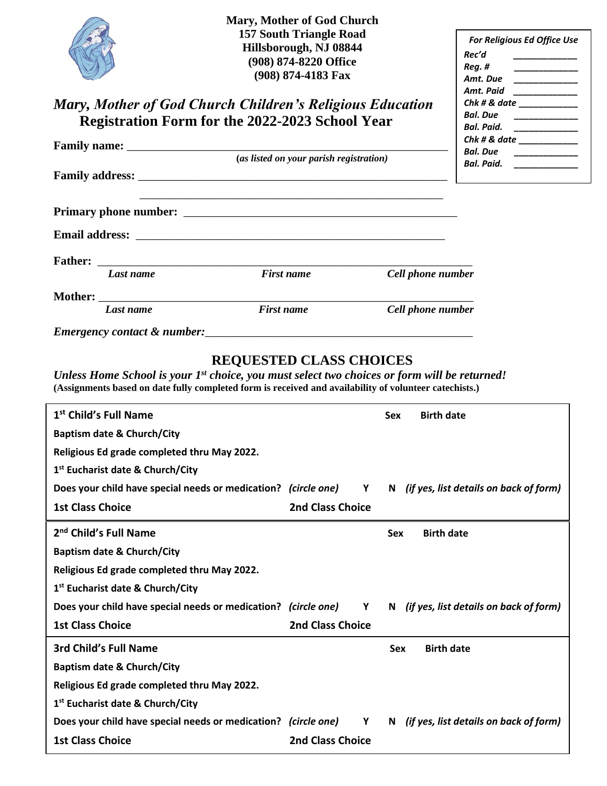| Mary, Mother of God Church<br><b>157 South Triangle Road</b><br>Hillsborough, NJ 08844<br>(908) 874-8220 Office<br>(908) 874-4183 Fax<br>Mary, Mother of God Church Children's Religious Education<br>Registration Form for the 2022-2023 School Year |                                         |                   | For Religious Ed Office Use<br>Rec'd<br>Reg.#<br>$\begin{tabular}{ccccc} \multicolumn{2}{c }{\textbf{1} & \multicolumn{2}{c }{\textbf{2} & \multicolumn{2}{c }{\textbf{3} & \multicolumn{2}{c }{\textbf{4} & \multicolumn{2}{c }{\textbf{5} & \multicolumn{2}{c }{\textbf{6} & \multicolumn{2}{c }{\textbf{6} & \multicolumn{2}{c }{\textbf{6} & \multicolumn{2}{c }{\textbf{6} & \multicolumn{2}{c }{\textbf{6} & \multicolumn{2}{c }{\textbf{6} & \multicolumn{2}{c }{\textbf{6} & \multicolumn{2}{$<br>Amt. Due<br>Amt. Paid _____________<br>$Chk # & date \_$<br><b>Bal. Due</b><br>________________<br>Bal. Paid. ______________ |
|-------------------------------------------------------------------------------------------------------------------------------------------------------------------------------------------------------------------------------------------------------|-----------------------------------------|-------------------|----------------------------------------------------------------------------------------------------------------------------------------------------------------------------------------------------------------------------------------------------------------------------------------------------------------------------------------------------------------------------------------------------------------------------------------------------------------------------------------------------------------------------------------------------------------------------------------------------------------------------------------|
|                                                                                                                                                                                                                                                       |                                         |                   | Chk # & date<br>Bal. Due ______________                                                                                                                                                                                                                                                                                                                                                                                                                                                                                                                                                                                                |
|                                                                                                                                                                                                                                                       | (as listed on your parish registration) |                   | Bal. Paid.                                                                                                                                                                                                                                                                                                                                                                                                                                                                                                                                                                                                                             |
|                                                                                                                                                                                                                                                       |                                         |                   |                                                                                                                                                                                                                                                                                                                                                                                                                                                                                                                                                                                                                                        |
|                                                                                                                                                                                                                                                       |                                         |                   |                                                                                                                                                                                                                                                                                                                                                                                                                                                                                                                                                                                                                                        |
|                                                                                                                                                                                                                                                       |                                         |                   |                                                                                                                                                                                                                                                                                                                                                                                                                                                                                                                                                                                                                                        |
| Last name                                                                                                                                                                                                                                             | <b>First name</b>                       | Cell phone number |                                                                                                                                                                                                                                                                                                                                                                                                                                                                                                                                                                                                                                        |
| Mother: when the contract of the contract of the contract of the contract of the contract of the contract of the contract of the contract of the contract of the contract of the contract of the contract of the contract of t                        |                                         |                   |                                                                                                                                                                                                                                                                                                                                                                                                                                                                                                                                                                                                                                        |
| Last name                                                                                                                                                                                                                                             | <b>First name</b>                       | Cell phone number |                                                                                                                                                                                                                                                                                                                                                                                                                                                                                                                                                                                                                                        |

*Emergency contact & number:*\_\_\_\_\_\_\_\_\_\_\_\_\_\_\_\_\_\_\_\_\_\_\_\_\_\_\_\_\_\_\_\_\_\_\_\_\_\_\_\_\_\_\_\_\_

#### **REQUESTED CLASS CHOICES**

*Unless Home School is your 1 st choice, you must select two choices or form will be returned!* **(Assignments based on date fully completed form is received and availability of volunteer catechists.)**

| 1 <sup>st</sup> Child's Full Name                              |                         | <b>Birth date</b><br><b>Sex</b>              |
|----------------------------------------------------------------|-------------------------|----------------------------------------------|
| <b>Baptism date &amp; Church/City</b>                          |                         |                                              |
| Religious Ed grade completed thru May 2022.                    |                         |                                              |
| 1 <sup>st</sup> Eucharist date & Church/City                   |                         |                                              |
| Does your child have special needs or medication? (circle one) | Y                       | N (if yes, list details on back of form)     |
| <b>1st Class Choice</b>                                        | <b>2nd Class Choice</b> |                                              |
| 2 <sup>nd</sup> Child's Full Name                              |                         | <b>Birth date</b><br><b>Sex</b>              |
| <b>Baptism date &amp; Church/City</b>                          |                         |                                              |
| Religious Ed grade completed thru May 2022.                    |                         |                                              |
| 1 <sup>st</sup> Eucharist date & Church/City                   |                         |                                              |
| Does your child have special needs or medication? (circle one) | $\mathbf{Y}$            | (if yes, list details on back of form)<br>N. |
| <b>1st Class Choice</b>                                        | <b>2nd Class Choice</b> |                                              |
| 3rd Child's Full Name                                          |                         | <b>Birth date</b><br><b>Sex</b>              |
| <b>Baptism date &amp; Church/City</b>                          |                         |                                              |
| Religious Ed grade completed thru May 2022.                    |                         |                                              |
| 1 <sup>st</sup> Eucharist date & Church/City                   |                         |                                              |
| Does your child have special needs or medication? (circle one) | Y                       | N (if yes, list details on back of form)     |
| <b>1st Class Choice</b>                                        | <b>2nd Class Choice</b> |                                              |